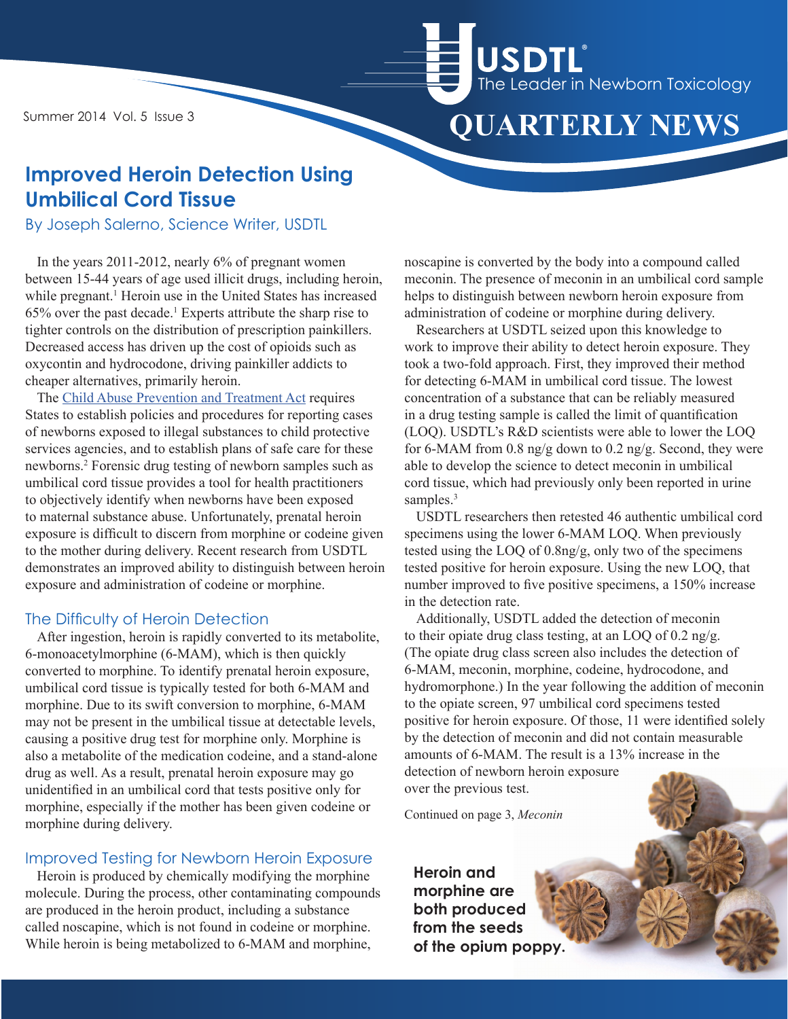Summer 2014 Vol. 5 Issue 3



# **Improved Heroin Detection Using Umbilical Cord Tissue**

By Joseph Salerno, Science Writer, USDTL

In the years 2011-2012, nearly 6% of pregnant women between 15-44 years of age used illicit drugs, including heroin, while pregnant.<sup>1</sup> Heroin use in the United States has increased  $65\%$  over the past decade.<sup>1</sup> Experts attribute the sharp rise to tighter controls on the distribution of prescription painkillers. Decreased access has driven up the cost of opioids such as oxycontin and hydrocodone, driving painkiller addicts to cheaper alternatives, primarily heroin.

The [Child Abuse Prevention and Treatment Act](https://www.childwelfare.gov/pubs/factsheets/about.cfm) requires States to establish policies and procedures for reporting cases of newborns exposed to illegal substances to child protective services agencies, and to establish plans of safe care for these newborns.2 Forensic drug testing of newborn samples such as umbilical cord tissue provides a tool for health practitioners to objectively identify when newborns have been exposed to maternal substance abuse. Unfortunately, prenatal heroin exposure is difficult to discern from morphine or codeine given to the mother during delivery. Recent research from USDTL demonstrates an improved ability to distinguish between heroin exposure and administration of codeine or morphine.

### The Difficulty of Heroin Detection

After ingestion, heroin is rapidly converted to its metabolite, 6-monoacetylmorphine (6-MAM), which is then quickly converted to morphine. To identify prenatal heroin exposure, umbilical cord tissue is typically tested for both 6-MAM and morphine. Due to its swift conversion to morphine, 6-MAM may not be present in the umbilical tissue at detectable levels, causing a positive drug test for morphine only. Morphine is also a metabolite of the medication codeine, and a stand-alone drug as well. As a result, prenatal heroin exposure may go unidentified in an umbilical cord that tests positive only for morphine, especially if the mother has been given codeine or morphine during delivery.

### Improved Testing for Newborn Heroin Exposure

Heroin is produced by chemically modifying the morphine molecule. During the process, other contaminating compounds are produced in the heroin product, including a substance called noscapine, which is not found in codeine or morphine. While heroin is being metabolized to 6-MAM and morphine,

noscapine is converted by the body into a compound called meconin. The presence of meconin in an umbilical cord sample helps to distinguish between newborn heroin exposure from administration of codeine or morphine during delivery.

Researchers at USDTL seized upon this knowledge to work to improve their ability to detect heroin exposure. They took a two-fold approach. First, they improved their method for detecting 6-MAM in umbilical cord tissue. The lowest concentration of a substance that can be reliably measured in a drug testing sample is called the limit of quantification (LOQ). USDTL's R&D scientists were able to lower the LOQ for 6-MAM from 0.8 ng/g down to 0.2 ng/g. Second, they were able to develop the science to detect meconin in umbilical cord tissue, which had previously only been reported in urine samples.<sup>3</sup>

USDTL researchers then retested 46 authentic umbilical cord specimens using the lower 6-MAM LOQ. When previously tested using the LOQ of 0.8ng/g, only two of the specimens tested positive for heroin exposure. Using the new LOQ, that number improved to five positive specimens, a 150% increase in the detection rate.

Additionally, USDTL added the detection of meconin to their opiate drug class testing, at an LOQ of 0.2 ng/g. (The opiate drug class screen also includes the detection of 6-MAM, meconin, morphine, codeine, hydrocodone, and hydromorphone.) In the year following the addition of meconin to the opiate screen, 97 umbilical cord specimens tested positive for heroin exposure. Of those, 11 were identified solely by the detection of meconin and did not contain measurable amounts of 6-MAM. The result is a 13% increase in the detection of newborn heroin exposure

over the previous test.

Continued on page 3, *Meconin*

**Heroin and morphine are both produced from the seeds of the opium poppy.**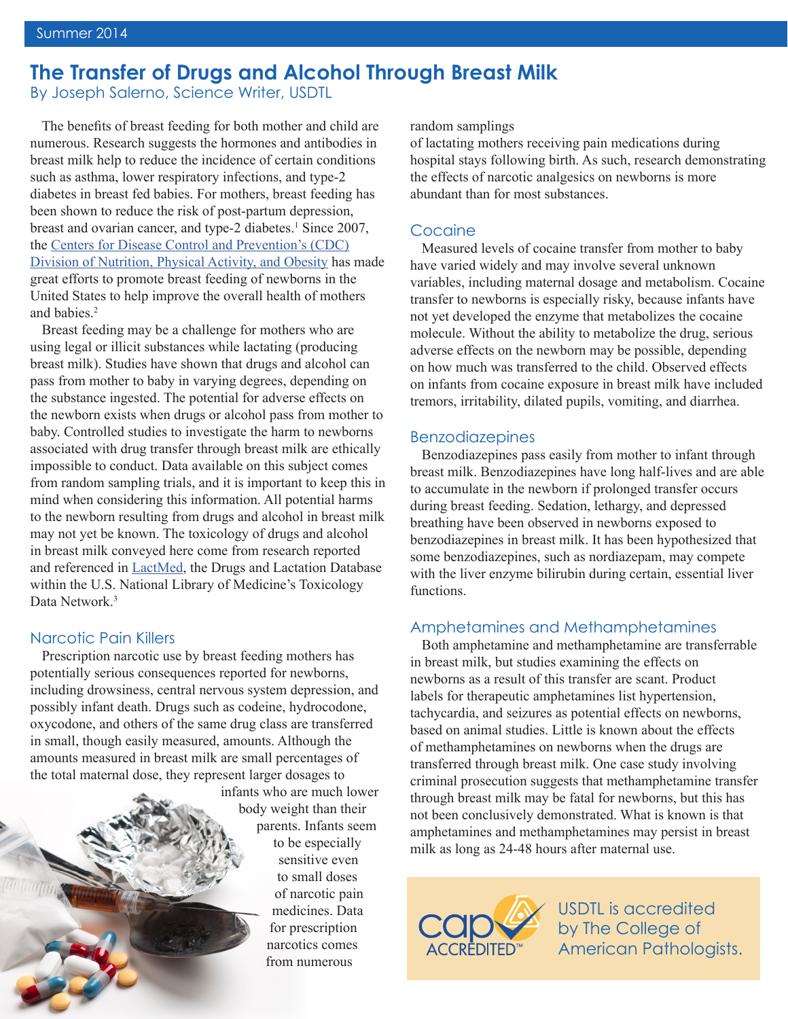# **The Transfer of Drugs and Alcohol Through Breast Milk**

By Joseph Salerno, Science Writer, USDTL

The benefits of breast feeding for both mother and child are numerous. Research suggests the hormones and antibodies in breast milk help to reduce the incidence of certain conditions such as asthma, lower respiratory infections, and type-2 diabetes in breast fed babies. For mothers, breast feeding has been shown to reduce the risk of post-partum depression, breast and ovarian cancer, and type-2 diabetes.<sup>1</sup> Since 2007, the [Centers for Disease Control and Prevention's \(CDC\)](www.cdc.gov) [Division of Nutrition, Physical Activity, and Obesity](http://www.cdc.gov/nccdphp/dnpao/index.html) has made great efforts to promote breast feeding of newborns in the United States to help improve the overall health of mothers and babies.2

Breast feeding may be a challenge for mothers who are using legal or illicit substances while lactating (producing breast milk). Studies have shown that drugs and alcohol can pass from mother to baby in varying degrees, depending on the substance ingested. The potential for adverse effects on the newborn exists when drugs or alcohol pass from mother to baby. Controlled studies to investigate the harm to newborns associated with drug transfer through breast milk are ethically impossible to conduct. Data available on this subject comes from random sampling trials, and it is important to keep this in mind when considering this information. All potential harms to the newborn resulting from drugs and alcohol in breast milk may not yet be known. The toxicology of drugs and alcohol in breast milk conveyed here come from research reported and referenced in [LactMed](http://toxnet.nlm.nih.gov/newtoxnet/lactmed.htm), the Drugs and Lactation Database within the U.S. National Library of Medicine's Toxicology Data Network<sup>3</sup>

### Narcotic Pain Killers

Prescription narcotic use by breast feeding mothers has potentially serious consequences reported for newborns, including drowsiness, central nervous system depression, and possibly infant death. Drugs such as codeine, hydrocodone, oxycodone, and others of the same drug class are transferred in small, though easily measured, amounts. Although the amounts measured in breast milk are small percentages of the total maternal dose, they represent larger dosages to

infants who are much lower body weight than their parents. Infants seem to be especially sensitive even to small doses of narcotic pain medicines. Data for prescription narcotics comes from numerous

random samplings

of lactating mothers receiving pain medications during hospital stays following birth. As such, research demonstrating the effects of narcotic analgesics on newborns is more abundant than for most substances.

### Cocaine

Measured levels of cocaine transfer from mother to baby have varied widely and may involve several unknown variables, including maternal dosage and metabolism. Cocaine transfer to newborns is especially risky, because infants have not yet developed the enzyme that metabolizes the cocaine molecule. Without the ability to metabolize the drug, serious adverse effects on the newborn may be possible, depending on how much was transferred to the child. Observed effects on infants from cocaine exposure in breast milk have included tremors, irritability, dilated pupils, vomiting, and diarrhea.

#### Benzodiazepines

Benzodiazepines pass easily from mother to infant through breast milk. Benzodiazepines have long half-lives and are able to accumulate in the newborn if prolonged transfer occurs during breast feeding. Sedation, lethargy, and depressed breathing have been observed in newborns exposed to benzodiazepines in breast milk. It has been hypothesized that some benzodiazepines, such as nordiazepam, may compete with the liver enzyme bilirubin during certain, essential liver functions.

#### Amphetamines and Methamphetamines

Both amphetamine and methamphetamine are transferrable in breast milk, but studies examining the effects on newborns as a result of this transfer are scant. Product labels for therapeutic amphetamines list hypertension, tachycardia, and seizures as potential effects on newborns, based on animal studies. Little is known about the effects of methamphetamines on newborns when the drugs are transferred through breast milk. One case study involving criminal prosecution suggests that methamphetamine transfer through breast milk may be fatal for newborns, but this has not been conclusively demonstrated. What is known is that amphetamines and methamphetamines may persist in breast milk as long as 24-48 hours after maternal use.



USDTL is accredited by The College of [American Pathologists.](http://www.cap.org/apps/cap.portal)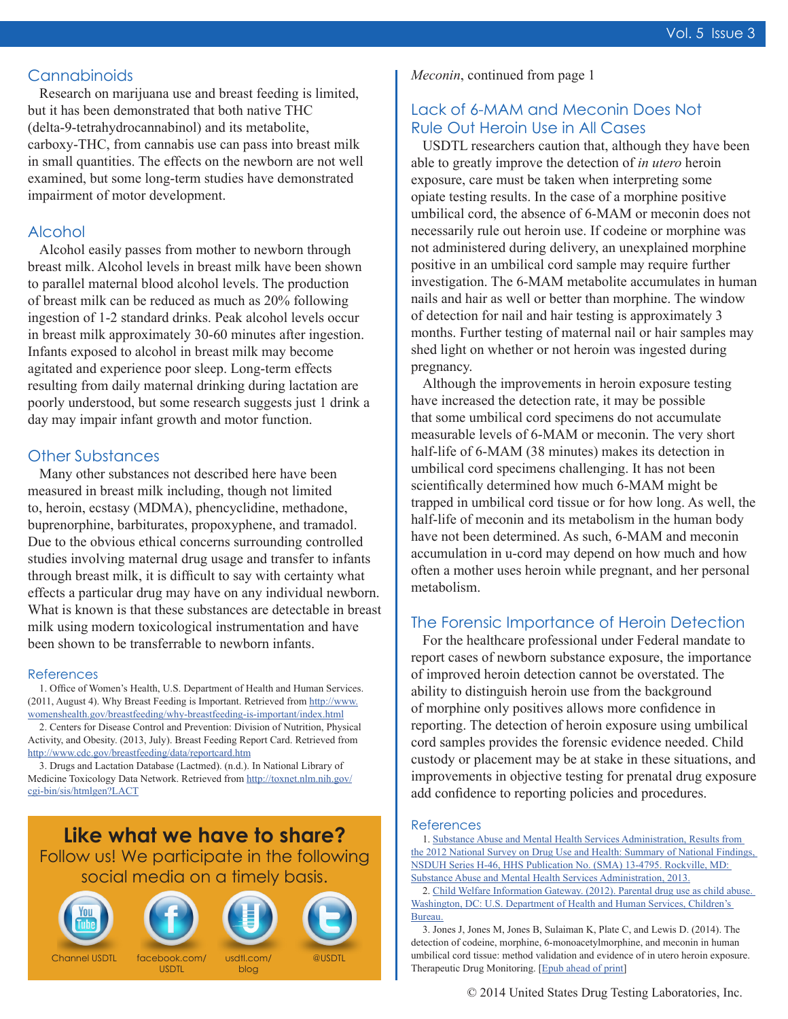## **Cannabinoids**

Research on marijuana use and breast feeding is limited, but it has been demonstrated that both native THC (delta-9-tetrahydrocannabinol) and its metabolite, carboxy-THC, from cannabis use can pass into breast milk in small quantities. The effects on the newborn are not well examined, but some long-term studies have demonstrated impairment of motor development.

## Alcohol

Alcohol easily passes from mother to newborn through breast milk. Alcohol levels in breast milk have been shown to parallel maternal blood alcohol levels. The production of breast milk can be reduced as much as 20% following ingestion of 1-2 standard drinks. Peak alcohol levels occur in breast milk approximately 30-60 minutes after ingestion. Infants exposed to alcohol in breast milk may become agitated and experience poor sleep. Long-term effects resulting from daily maternal drinking during lactation are poorly understood, but some research suggests just 1 drink a day may impair infant growth and motor function.

## Other Substances

Many other substances not described here have been measured in breast milk including, though not limited to, heroin, ecstasy (MDMA), phencyclidine, methadone, buprenorphine, barbiturates, propoxyphene, and tramadol. Due to the obvious ethical concerns surrounding controlled studies involving maternal drug usage and transfer to infants through breast milk, it is difficult to say with certainty what effects a particular drug may have on any individual newborn. [What is known is that these substances are detectable in breast](http://www.youtube.com/user/USDrugTestingLab)  milk using modern toxicological instrumentation and have been shown to be transferrable to newborn infants.

#### References

1. Office of Women's Health, U.S. Department of Health and Human Services. (2011, August 4). Why Breast Feeding is Important. Retrieved from [http://www.](http://www.womenshealth.gov/breastfeeding/why-breastfeeding-is-important/index.html) [womenshealth.gov/breastfeeding/why-breastfeeding-is-important/index.html](http://www.womenshealth.gov/breastfeeding/why-breastfeeding-is-important/index.html)

2. Centers for Disease Control and Prevention: Division of Nutrition, Physical Activity, and Obesity. (2013, July). Breast Feeding Report Card. Retrieved from <http://www.cdc.gov/breastfeeding/data/reportcard.htm>

3. Drugs and Lactation Database (Lactmed). (n.d.). In National Library of Medicine Toxicology Data Network. Retrieved from [http://toxnet.nlm.nih.gov/](http://toxnet.nlm.nih.gov/cgi-bin/sis/htmlgen?LACT) [cgi-bin/sis/htmlgen?LACT](http://toxnet.nlm.nih.gov/cgi-bin/sis/htmlgen?LACT)

**Like what we have to share?** Follow us! We participate in the following social [media on](http://www.facebook.com/USDTL) [a timely b](http://www.usdtl.com/blog)[asis.](https://twitter.com/USDTL)









*Meconin*, continued from page 1

# Lack of 6-MAM and Meconin Does Not Rule Out Heroin Use in All Cases

USDTL researchers caution that, although they have been able to greatly improve the detection of *in utero* heroin exposure, care must be taken when interpreting some opiate testing results. In the case of a morphine positive umbilical cord, the absence of 6-MAM or meconin does not necessarily rule out heroin use. If codeine or morphine was not administered during delivery, an unexplained morphine positive in an umbilical cord sample may require further investigation. The 6-MAM metabolite accumulates in human nails and hair as well or better than morphine. The window of detection for nail and hair testing is approximately 3 months. Further testing of maternal nail or hair samples may shed light on whether or not heroin was ingested during pregnancy.

Although the improvements in heroin exposure testing have increased the detection rate, it may be possible that some umbilical cord specimens do not accumulate measurable levels of 6-MAM or meconin. The very short half-life of 6-MAM (38 minutes) makes its detection in umbilical cord specimens challenging. It has not been scientifically determined how much 6-MAM might be trapped in umbilical cord tissue or for how long. As well, the half-life of meconin and its metabolism in the human body have not been determined. As such, 6-MAM and meconin accumulation in u-cord may depend on how much and how often a mother uses heroin while pregnant, and her personal metabolism.

## The Forensic Importance of Heroin Detection

For the healthcare professional under Federal mandate to report cases of newborn substance exposure, the importance of improved heroin detection cannot be overstated. The ability to distinguish heroin use from the background of morphine only positives allows more confidence in reporting. The detection of heroin exposure using umbilical cord samples provides the forensic evidence needed. Child custody or placement may be at stake in these situations, and improvements in objective testing for prenatal drug exposure add confidence to reporting policies and procedures.

#### References

1. [Substance Abuse and Mental Health Services Administration, Results from](https://nsduhweb.rti.org/respweb/homepage.cfm)  [the 2012 National Survey on Drug Use and Health: Summary of National Findings,](https://nsduhweb.rti.org/respweb/homepage.cfm)  [NSDUH Series H-46, HHS Publication No. \(SMA\) 13-4795. Rockville, MD:](https://nsduhweb.rti.org/respweb/homepage.cfm)  [Substance Abuse and Mental Health Services Administration, 2013.](https://nsduhweb.rti.org/respweb/homepage.cfm)

2. [Child Welfare Information Gateway. \(2012\). Parental drug use as child abuse.](https://www.childwelfare.gov/systemwide/laws_policies/statutes/drugexposed.cfm)  [Washington, DC: U.S. Department of Health and Human Services, Children's](https://www.childwelfare.gov/systemwide/laws_policies/statutes/drugexposed.cfm)  [Bureau.](https://www.childwelfare.gov/systemwide/laws_policies/statutes/drugexposed.cfm)

3. Jones J, Jones M, Jones B, Sulaiman K, Plate C, and Lewis D. (2014). The detection of codeine, morphine, 6-monoacetylmorphine, and meconin in human umbilical cord tissue: method validation and evidence of in utero heroin exposure. Therapeutic Drug Monitoring. [\[Epub ahead of print\]](http://www.ncbi.nlm.nih.gov/pubmed/24901495)